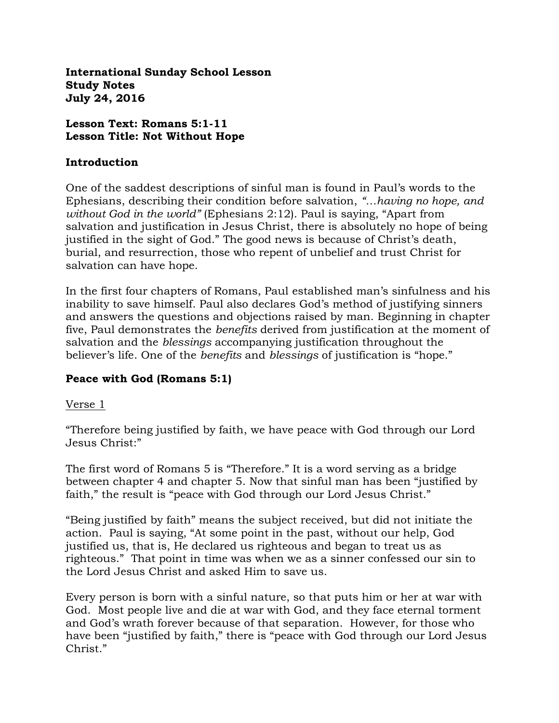**International Sunday School Lesson Study Notes July 24, 2016**

#### **Lesson Text: Romans 5:1-11 Lesson Title: Not Without Hope**

#### **Introduction**

One of the saddest descriptions of sinful man is found in Paul's words to the Ephesians, describing their condition before salvation, *"…having no hope, and without God in the world"* (Ephesians 2:12). Paul is saying, "Apart from salvation and justification in Jesus Christ, there is absolutely no hope of being justified in the sight of God." The good news is because of Christ's death, burial, and resurrection, those who repent of unbelief and trust Christ for salvation can have hope.

In the first four chapters of Romans, Paul established man's sinfulness and his inability to save himself. Paul also declares God's method of justifying sinners and answers the questions and objections raised by man. Beginning in chapter five, Paul demonstrates the *benefits* derived from justification at the moment of salvation and the *blessings* accompanying justification throughout the believer's life. One of the *benefits* and *blessings* of justification is "hope."

# **Peace with God (Romans 5:1)**

#### Verse 1

"Therefore being justified by faith, we have peace with God through our Lord Jesus Christ:"

The first word of Romans 5 is "Therefore." It is a word serving as a bridge between chapter 4 and chapter 5. Now that sinful man has been "justified by faith," the result is "peace with God through our Lord Jesus Christ."

"Being justified by faith" means the subject received, but did not initiate the action. Paul is saying, "At some point in the past, without our help, God justified us, that is, He declared us righteous and began to treat us as righteous." That point in time was when we as a sinner confessed our sin to the Lord Jesus Christ and asked Him to save us.

Every person is born with a sinful nature, so that puts him or her at war with God. Most people live and die at war with God, and they face eternal torment and God's wrath forever because of that separation. However, for those who have been "justified by faith," there is "peace with God through our Lord Jesus Christ."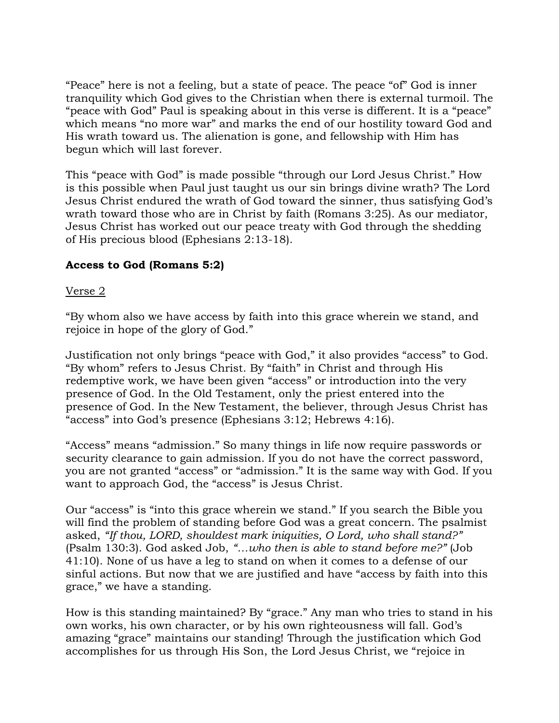"Peace" here is not a feeling, but a state of peace. The peace "of" God is inner tranquility which God gives to the Christian when there is external turmoil. The "peace with God" Paul is speaking about in this verse is different. It is a "peace" which means "no more war" and marks the end of our hostility toward God and His wrath toward us. The alienation is gone, and fellowship with Him has begun which will last forever.

This "peace with God" is made possible "through our Lord Jesus Christ." How is this possible when Paul just taught us our sin brings divine wrath? The Lord Jesus Christ endured the wrath of God toward the sinner, thus satisfying God's wrath toward those who are in Christ by faith (Romans 3:25). As our mediator, Jesus Christ has worked out our peace treaty with God through the shedding of His precious blood (Ephesians 2:13-18).

# **Access to God (Romans 5:2)**

## Verse 2

"By whom also we have access by faith into this grace wherein we stand, and rejoice in hope of the glory of God."

Justification not only brings "peace with God," it also provides "access" to God. "By whom" refers to Jesus Christ. By "faith" in Christ and through His redemptive work, we have been given "access" or introduction into the very presence of God. In the Old Testament, only the priest entered into the presence of God. In the New Testament, the believer, through Jesus Christ has "access" into God's presence (Ephesians 3:12; Hebrews 4:16).

"Access" means "admission." So many things in life now require passwords or security clearance to gain admission. If you do not have the correct password, you are not granted "access" or "admission." It is the same way with God. If you want to approach God, the "access" is Jesus Christ.

Our "access" is "into this grace wherein we stand." If you search the Bible you will find the problem of standing before God was a great concern. The psalmist asked, *"If thou, LORD, shouldest mark iniquities, O Lord, who shall stand?"*  (Psalm 130:3). God asked Job, *"…who then is able to stand before me?"* (Job 41:10). None of us have a leg to stand on when it comes to a defense of our sinful actions. But now that we are justified and have "access by faith into this grace," we have a standing.

How is this standing maintained? By "grace." Any man who tries to stand in his own works, his own character, or by his own righteousness will fall. God's amazing "grace" maintains our standing! Through the justification which God accomplishes for us through His Son, the Lord Jesus Christ, we "rejoice in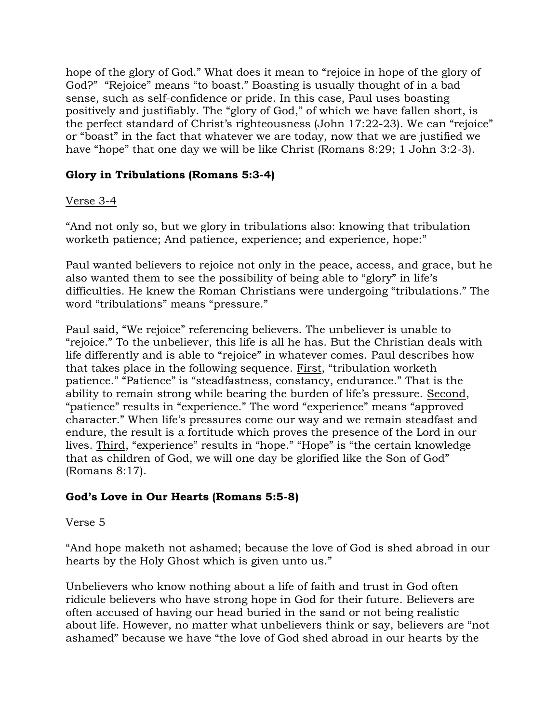hope of the glory of God." What does it mean to "rejoice in hope of the glory of God?" "Rejoice" means "to boast." Boasting is usually thought of in a bad sense, such as self-confidence or pride. In this case, Paul uses boasting positively and justifiably. The "glory of God," of which we have fallen short, is the perfect standard of Christ's righteousness (John 17:22-23). We can "rejoice" or "boast" in the fact that whatever we are today, now that we are justified we have "hope" that one day we will be like Christ (Romans 8:29; 1 John 3:2-3).

# **Glory in Tribulations (Romans 5:3-4)**

## Verse 3-4

"And not only so, but we glory in tribulations also: knowing that tribulation worketh patience; And patience, experience; and experience, hope:"

Paul wanted believers to rejoice not only in the peace, access, and grace, but he also wanted them to see the possibility of being able to "glory" in life's difficulties. He knew the Roman Christians were undergoing "tribulations." The word "tribulations" means "pressure."

Paul said, "We rejoice" referencing believers. The unbeliever is unable to "rejoice." To the unbeliever, this life is all he has. But the Christian deals with life differently and is able to "rejoice" in whatever comes. Paul describes how that takes place in the following sequence. First, "tribulation worketh patience." "Patience" is "steadfastness, constancy, endurance." That is the ability to remain strong while bearing the burden of life's pressure. Second, "patience" results in "experience." The word "experience" means "approved character." When life's pressures come our way and we remain steadfast and endure, the result is a fortitude which proves the presence of the Lord in our lives. Third, "experience" results in "hope." "Hope" is "the certain knowledge that as children of God, we will one day be glorified like the Son of God" (Romans 8:17).

# **God's Love in Our Hearts (Romans 5:5-8)**

#### Verse 5

"And hope maketh not ashamed; because the love of God is shed abroad in our hearts by the Holy Ghost which is given unto us."

Unbelievers who know nothing about a life of faith and trust in God often ridicule believers who have strong hope in God for their future. Believers are often accused of having our head buried in the sand or not being realistic about life. However, no matter what unbelievers think or say, believers are "not ashamed" because we have "the love of God shed abroad in our hearts by the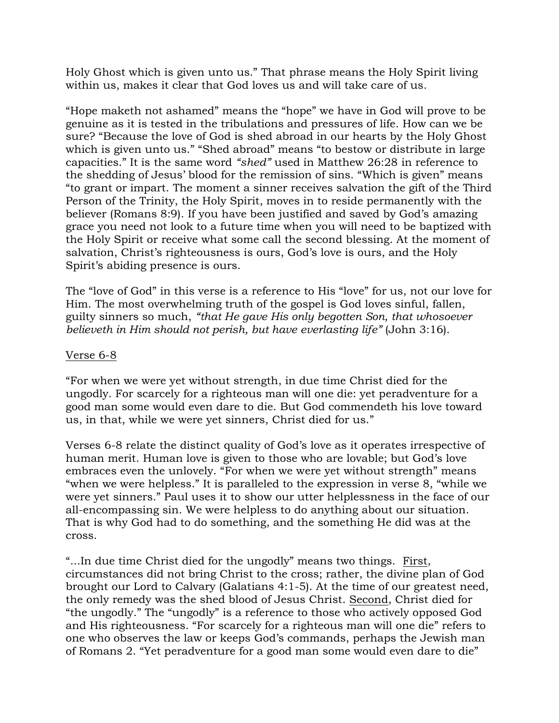Holy Ghost which is given unto us." That phrase means the Holy Spirit living within us, makes it clear that God loves us and will take care of us.

"Hope maketh not ashamed" means the "hope" we have in God will prove to be genuine as it is tested in the tribulations and pressures of life. How can we be sure? "Because the love of God is shed abroad in our hearts by the Holy Ghost which is given unto us." "Shed abroad" means "to bestow or distribute in large capacities." It is the same word *"shed"* used in Matthew 26:28 in reference to the shedding of Jesus' blood for the remission of sins. "Which is given" means "to grant or impart. The moment a sinner receives salvation the gift of the Third Person of the Trinity, the Holy Spirit, moves in to reside permanently with the believer (Romans 8:9). If you have been justified and saved by God's amazing grace you need not look to a future time when you will need to be baptized with the Holy Spirit or receive what some call the second blessing. At the moment of salvation, Christ's righteousness is ours, God's love is ours, and the Holy Spirit's abiding presence is ours.

The "love of God" in this verse is a reference to His "love" for us, not our love for Him. The most overwhelming truth of the gospel is God loves sinful, fallen, guilty sinners so much, *"that He gave His only begotten Son, that whosoever believeth in Him should not perish, but have everlasting life"* (John 3:16).

## Verse 6-8

"For when we were yet without strength, in due time Christ died for the ungodly. For scarcely for a righteous man will one die: yet peradventure for a good man some would even dare to die. But God commendeth his love toward us, in that, while we were yet sinners, Christ died for us."

Verses 6-8 relate the distinct quality of God's love as it operates irrespective of human merit. Human love is given to those who are lovable; but God's love embraces even the unlovely. "For when we were yet without strength" means "when we were helpless." It is paralleled to the expression in verse 8, "while we were yet sinners." Paul uses it to show our utter helplessness in the face of our all-encompassing sin. We were helpless to do anything about our situation. That is why God had to do something, and the something He did was at the cross.

"...In due time Christ died for the ungodly" means two things. First, circumstances did not bring Christ to the cross; rather, the divine plan of God brought our Lord to Calvary (Galatians 4:1-5). At the time of our greatest need, the only remedy was the shed blood of Jesus Christ. Second, Christ died for "the ungodly." The "ungodly" is a reference to those who actively opposed God and His righteousness. "For scarcely for a righteous man will one die" refers to one who observes the law or keeps God's commands, perhaps the Jewish man of Romans 2. "Yet peradventure for a good man some would even dare to die"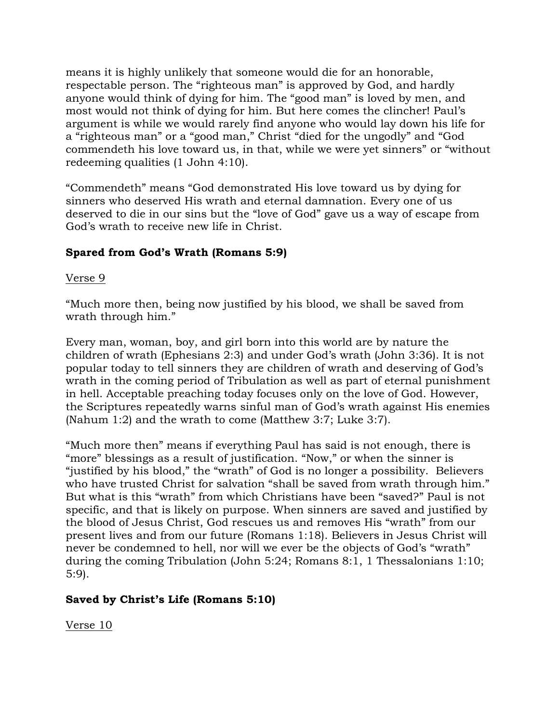means it is highly unlikely that someone would die for an honorable, respectable person. The "righteous man" is approved by God, and hardly anyone would think of dying for him. The "good man" is loved by men, and most would not think of dying for him. But here comes the clincher! Paul's argument is while we would rarely find anyone who would lay down his life for a "righteous man" or a "good man," Christ "died for the ungodly" and "God commendeth his love toward us, in that, while we were yet sinners" or "without redeeming qualities (1 John 4:10).

"Commendeth" means "God demonstrated His love toward us by dying for sinners who deserved His wrath and eternal damnation. Every one of us deserved to die in our sins but the "love of God" gave us a way of escape from God's wrath to receive new life in Christ.

# **Spared from God's Wrath (Romans 5:9)**

## Verse 9

"Much more then, being now justified by his blood, we shall be saved from wrath through him."

Every man, woman, boy, and girl born into this world are by nature the children of wrath (Ephesians 2:3) and under God's wrath (John 3:36). It is not popular today to tell sinners they are children of wrath and deserving of God's wrath in the coming period of Tribulation as well as part of eternal punishment in hell. Acceptable preaching today focuses only on the love of God. However, the Scriptures repeatedly warns sinful man of God's wrath against His enemies (Nahum 1:2) and the wrath to come (Matthew 3:7; Luke 3:7).

"Much more then" means if everything Paul has said is not enough, there is "more" blessings as a result of justification. "Now," or when the sinner is "justified by his blood," the "wrath" of God is no longer a possibility. Believers who have trusted Christ for salvation "shall be saved from wrath through him." But what is this "wrath" from which Christians have been "saved?" Paul is not specific, and that is likely on purpose. When sinners are saved and justified by the blood of Jesus Christ, God rescues us and removes His "wrath" from our present lives and from our future (Romans 1:18). Believers in Jesus Christ will never be condemned to hell, nor will we ever be the objects of God's "wrath" during the coming Tribulation (John 5:24; Romans 8:1, 1 Thessalonians 1:10; 5:9).

# **Saved by Christ's Life (Romans 5:10)**

Verse 10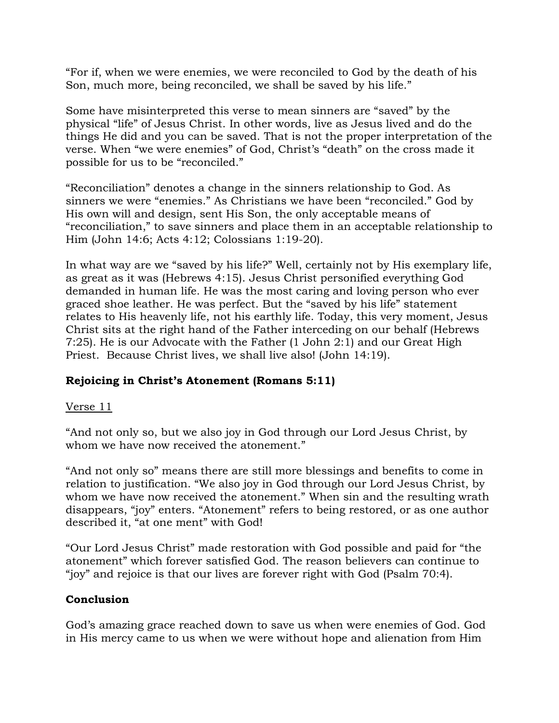"For if, when we were enemies, we were reconciled to God by the death of his Son, much more, being reconciled, we shall be saved by his life."

Some have misinterpreted this verse to mean sinners are "saved" by the physical "life" of Jesus Christ. In other words, live as Jesus lived and do the things He did and you can be saved. That is not the proper interpretation of the verse. When "we were enemies" of God, Christ's "death" on the cross made it possible for us to be "reconciled."

"Reconciliation" denotes a change in the sinners relationship to God. As sinners we were "enemies." As Christians we have been "reconciled." God by His own will and design, sent His Son, the only acceptable means of "reconciliation," to save sinners and place them in an acceptable relationship to Him (John 14:6; Acts 4:12; Colossians 1:19-20).

In what way are we "saved by his life?" Well, certainly not by His exemplary life, as great as it was (Hebrews 4:15). Jesus Christ personified everything God demanded in human life. He was the most caring and loving person who ever graced shoe leather. He was perfect. But the "saved by his life" statement relates to His heavenly life, not his earthly life. Today, this very moment, Jesus Christ sits at the right hand of the Father interceding on our behalf (Hebrews 7:25). He is our Advocate with the Father (1 John 2:1) and our Great High Priest. Because Christ lives, we shall live also! (John 14:19).

# **Rejoicing in Christ's Atonement (Romans 5:11)**

# Verse 11

"And not only so, but we also joy in God through our Lord Jesus Christ, by whom we have now received the atonement."

"And not only so" means there are still more blessings and benefits to come in relation to justification. "We also joy in God through our Lord Jesus Christ, by whom we have now received the atonement." When sin and the resulting wrath disappears, "joy" enters. "Atonement" refers to being restored, or as one author described it, "at one ment" with God!

"Our Lord Jesus Christ" made restoration with God possible and paid for "the atonement" which forever satisfied God. The reason believers can continue to "joy" and rejoice is that our lives are forever right with God (Psalm 70:4).

# **Conclusion**

God's amazing grace reached down to save us when were enemies of God. God in His mercy came to us when we were without hope and alienation from Him